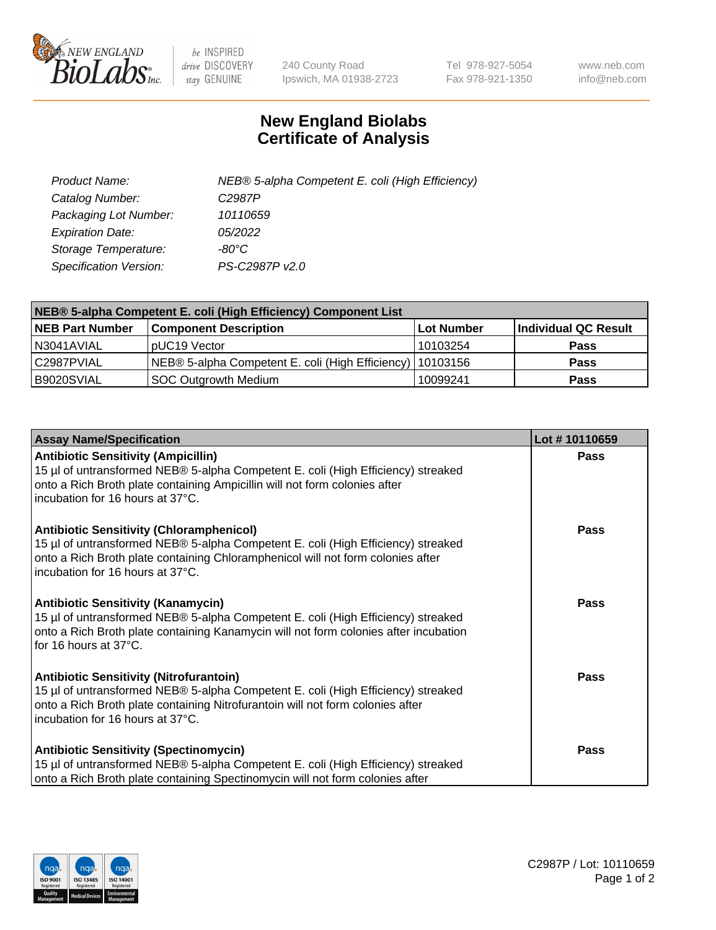

 $be$  INSPIRED drive DISCOVERY stay GENUINE

240 County Road Ipswich, MA 01938-2723 Tel 978-927-5054 Fax 978-921-1350 www.neb.com info@neb.com

## **New England Biolabs Certificate of Analysis**

| Product Name:                 | NEB® 5-alpha Competent E. coli (High Efficiency) |
|-------------------------------|--------------------------------------------------|
| Catalog Number:               | C <sub>2987</sub> P                              |
| Packaging Lot Number:         | 10110659                                         |
| <b>Expiration Date:</b>       | <i>05/2022</i>                                   |
| Storage Temperature:          | -80°C                                            |
| <b>Specification Version:</b> | PS-C2987P v2.0                                   |

| NEB® 5-alpha Competent E. coli (High Efficiency) Component List |                                                             |            |                      |  |
|-----------------------------------------------------------------|-------------------------------------------------------------|------------|----------------------|--|
| <b>NEB Part Number</b>                                          | <b>Component Description</b>                                | Lot Number | Individual QC Result |  |
| N3041AVIAL                                                      | pUC19 Vector                                                | 10103254   | <b>Pass</b>          |  |
| C2987PVIAL                                                      | NEB® 5-alpha Competent E. coli (High Efficiency)   10103156 |            | <b>Pass</b>          |  |
| B9020SVIAL                                                      | SOC Outgrowth Medium                                        | 10099241   | <b>Pass</b>          |  |

| <b>Assay Name/Specification</b>                                                                                                                                                                                                                            | Lot #10110659 |
|------------------------------------------------------------------------------------------------------------------------------------------------------------------------------------------------------------------------------------------------------------|---------------|
| <b>Antibiotic Sensitivity (Ampicillin)</b><br>15 µl of untransformed NEB® 5-alpha Competent E. coli (High Efficiency) streaked<br>onto a Rich Broth plate containing Ampicillin will not form colonies after<br>incubation for 16 hours at 37°C.           | Pass          |
| <b>Antibiotic Sensitivity (Chloramphenicol)</b><br>15 µl of untransformed NEB® 5-alpha Competent E. coli (High Efficiency) streaked<br>onto a Rich Broth plate containing Chloramphenicol will not form colonies after<br>incubation for 16 hours at 37°C. | Pass          |
| <b>Antibiotic Sensitivity (Kanamycin)</b><br>15 µl of untransformed NEB® 5-alpha Competent E. coli (High Efficiency) streaked<br>onto a Rich Broth plate containing Kanamycin will not form colonies after incubation<br>for 16 hours at 37°C.             | Pass          |
| <b>Antibiotic Sensitivity (Nitrofurantoin)</b><br>15 µl of untransformed NEB® 5-alpha Competent E. coli (High Efficiency) streaked<br>onto a Rich Broth plate containing Nitrofurantoin will not form colonies after<br>incubation for 16 hours at 37°C.   | <b>Pass</b>   |
| <b>Antibiotic Sensitivity (Spectinomycin)</b><br>15 µl of untransformed NEB® 5-alpha Competent E. coli (High Efficiency) streaked<br>onto a Rich Broth plate containing Spectinomycin will not form colonies after                                         | Pass          |